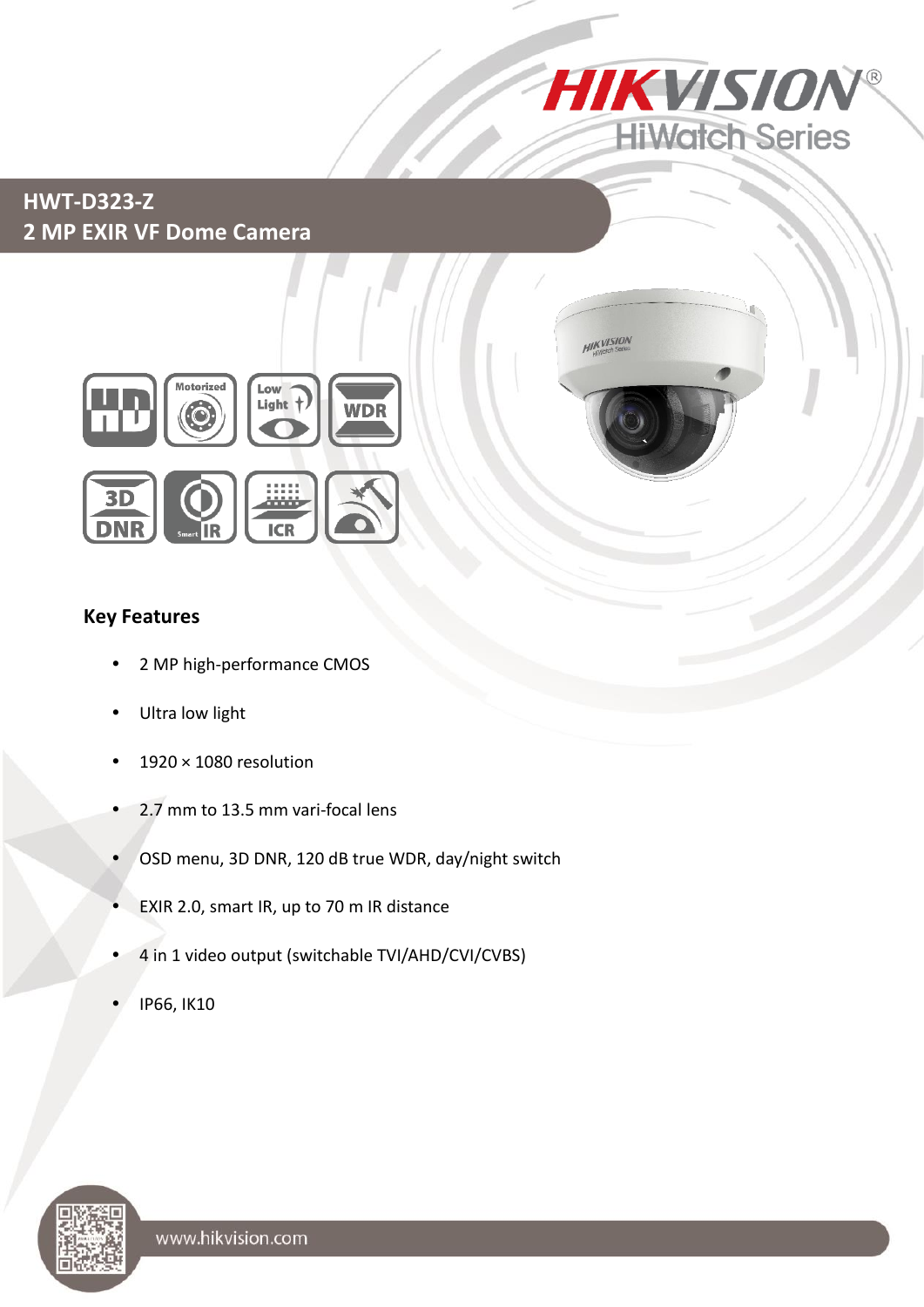

# **HWT-D323-Z 2 MP EXIR VF Dome Camera**





#### **Key Features**

- 2 MP high-performance CMOS
- Ultra low light
- 1920 × 1080 resolution
- 2.7 mm to 13.5 mm vari-focal lens
- OSD menu, 3D DNR, 120 dB true WDR, day/night switch
- EXIR 2.0, smart IR, up to 70 m IR distance
- 4 in 1 video output (switchable TVI/AHD/CVI/CVBS)
- IP66, IK10

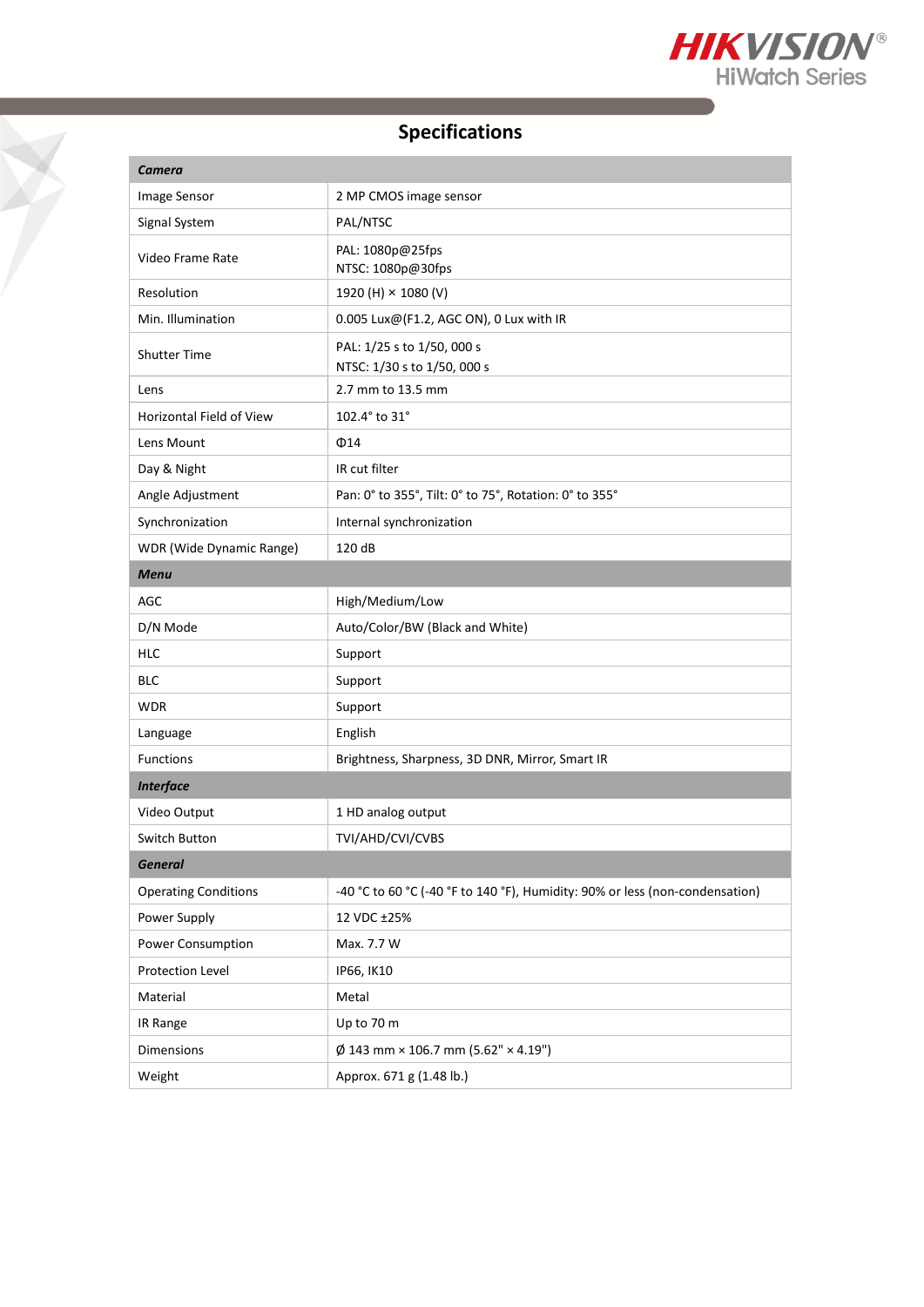

# **Specifications**

T

| <b>Camera</b>               |                                                                              |
|-----------------------------|------------------------------------------------------------------------------|
| Image Sensor                | 2 MP CMOS image sensor                                                       |
| Signal System               | PAL/NTSC                                                                     |
| Video Frame Rate            | PAL: 1080p@25fps<br>NTSC: 1080p@30fps                                        |
| Resolution                  | 1920 (H) × 1080 (V)                                                          |
| Min. Illumination           | $0.005$ Lux@(F1.2, AGC ON), 0 Lux with IR                                    |
| <b>Shutter Time</b>         | PAL: 1/25 s to 1/50, 000 s<br>NTSC: 1/30 s to 1/50, 000 s                    |
| Lens                        | 2.7 mm to 13.5 mm                                                            |
| Horizontal Field of View    | 102.4° to 31°                                                                |
| Lens Mount                  | $\Phi$ 14                                                                    |
| Day & Night                 | IR cut filter                                                                |
| Angle Adjustment            | Pan: 0° to 355°, Tilt: 0° to 75°, Rotation: 0° to 355°                       |
| Synchronization             | Internal synchronization                                                     |
| WDR (Wide Dynamic Range)    | 120 dB                                                                       |
| <b>Menu</b>                 |                                                                              |
| AGC                         | High/Medium/Low                                                              |
| D/N Mode                    | Auto/Color/BW (Black and White)                                              |
| <b>HLC</b>                  | Support                                                                      |
| <b>BLC</b>                  | Support                                                                      |
| <b>WDR</b>                  | Support                                                                      |
| Language                    | English                                                                      |
| Functions                   | Brightness, Sharpness, 3D DNR, Mirror, Smart IR                              |
| <b>Interface</b>            |                                                                              |
| Video Output                | 1 HD analog output                                                           |
| Switch Button               | TVI/AHD/CVI/CVBS                                                             |
| <b>General</b>              |                                                                              |
| <b>Operating Conditions</b> | -40 °C to 60 °C (-40 °F to 140 °F), Humidity: 90% or less (non-condensation) |
| Power Supply                | 12 VDC ±25%                                                                  |
| Power Consumption           | Max. 7.7 W                                                                   |
| Protection Level            | IP66, IK10                                                                   |
| Material                    | Metal                                                                        |
| IR Range                    | Up to 70 m                                                                   |
| Dimensions                  | $\varnothing$ 143 mm × 106.7 mm (5.62" × 4.19")                              |
| Weight                      | Approx. 671 g (1.48 lb.)                                                     |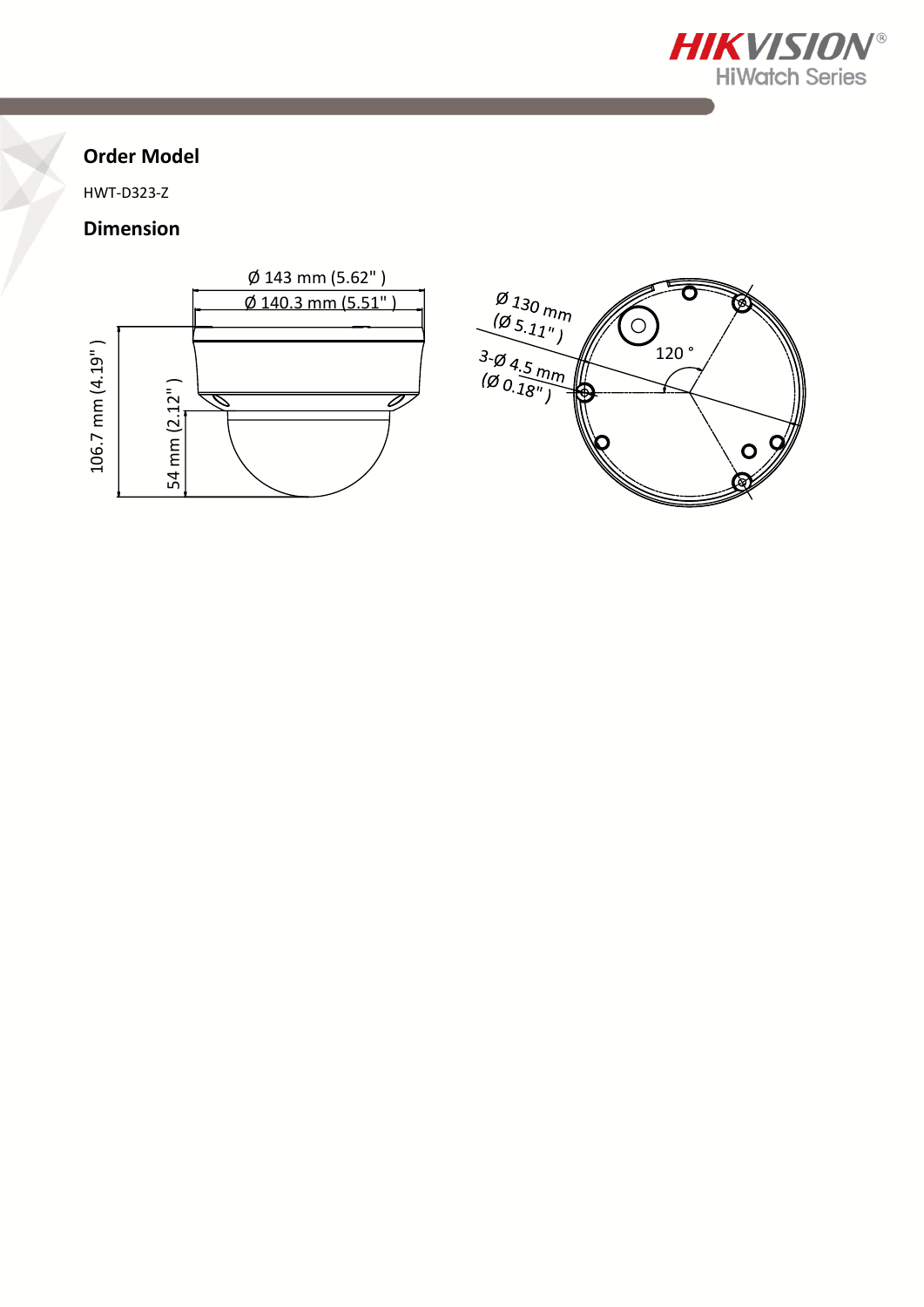

 $120°$ 

 $\sigma$ 

Ó

 $\overline{\overline{\mathbf{C}}}$ 

闵

 $\overset{\circ}{\mathscr{A}}$ 

## **Order Model**

HWT-D323-Z

### **Dimension**